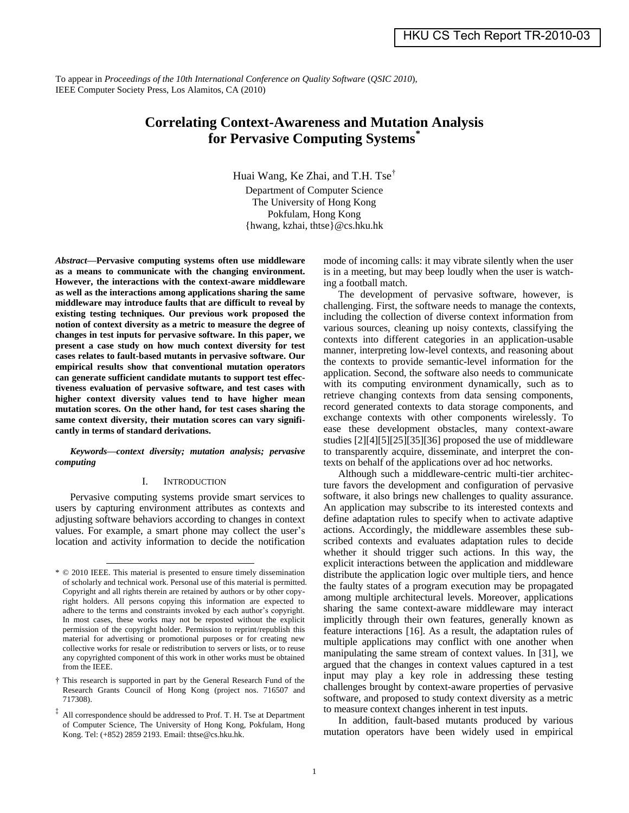To appear in *Proceedings of the 10th International Conference on Quality Software* (*QSIC 2010*), IEEE Computer Society Press, Los Alamitos, CA (2010)

# **Correlating Context-Awareness and Mutation Analysis for Pervasive Computing Systems\***

Huai Wang, Ke Zhai, and T.H. Tse† Department of Computer Science The University of Hong Kong Pokfulam, Hong Kong {hwang, kzhai, thtse}@cs.hku.hk

*Abstract***—Pervasive computing systems often use middleware as a means to communicate with the changing environment. However, the interactions with the context-aware middleware as well as the interactions among applications sharing the same middleware may introduce faults that are difficult to reveal by existing testing techniques. Our previous work proposed the notion of context diversity as a metric to measure the degree of changes in test inputs for pervasive software. In this paper, we present a case study on how much context diversity for test cases relates to fault-based mutants in pervasive software. Our empirical results show that conventional mutation operators can generate sufficient candidate mutants to support test effectiveness evaluation of pervasive software, and test cases with higher context diversity values tend to have higher mean mutation scores. On the other hand, for test cases sharing the same context diversity, their mutation scores can vary significantly in terms of standard derivations.**

*Keywords—context diversity; mutation analysis; pervasive computing*

#### I. INTRODUCTION

<span id="page-0-0"></span>Pervasive computing systems provide smart services to users by capturing environment attributes as contexts and adjusting software behaviors according to changes in context values. For example, a smart phone may collect the user's location and activity information to decide the notification

-

mode of incoming calls: it may vibrate silently when the user is in a meeting, but may beep loudly when the user is watching a football match.

The development of pervasive software, however, is challenging. First, the software needs to manage the contexts, including the collection of diverse context information from various sources, cleaning up noisy contexts, classifying the contexts into different categories in an application-usable manner, interpreting low-level contexts, and reasoning about the contexts to provide semantic-level information for the application. Second, the software also needs to communicate with its computing environment dynamically, such as to retrieve changing contexts from data sensing components, record generated contexts to data storage components, and exchange contexts with other components wirelessly. To ease these development obstacles, many context-aware studies [\[2\]\[4\]](#page-9-0)[\[5\]\[25\]](#page-9-1)[\[35\]\[36\]](#page-10-0) proposed the use of middleware to transparently acquire, disseminate, and interpret the contexts on behalf of the applications over ad hoc networks.

Although such a middleware-centric multi-tier architecture favors the development and configuration of pervasive software, it also brings new challenges to quality assurance. An application may subscribe to its interested contexts and define adaptation rules to specify when to activate adaptive actions. Accordingly, the middleware assembles these subscribed contexts and evaluates adaptation rules to decide whether it should trigger such actions. In this way, the explicit interactions between the application and middleware distribute the application logic over multiple tiers, and hence the faulty states of a program execution may be propagated among multiple architectural levels. Moreover, applications sharing the same context-aware middleware may interact implicitly through their own features, generally known as feature interactions [\[16\].](#page-9-2) As a result, the adaptation rules of multiple applications may conflict with one another when manipulating the same stream of context values. In [\[31\],](#page-9-3) we argued that the changes in context values captured in a test input may play a key role in addressing these testing challenges brought by context-aware properties of pervasive software, and proposed to study context diversity as a metric to measure context changes inherent in test inputs.

In addition, fault-based mutants produced by various mutation operators have been widely used in empirical

<sup>\*</sup> © 2010 IEEE. This material is presented to ensure timely dissemination of scholarly and technical work. Personal use of this material is permitted. Copyright and all rights therein are retained by authors or by other copyright holders. All persons copying this information are expected to adhere to the terms and constraints invoked by each author's copyright. In most cases, these works may not be reposted without the explicit permission of the copyright holder. Permission to reprint/republish this material for advertising or promotional purposes or for creating new collective works for resale or redistribution to servers or lists, or to reuse any copyrighted component of this work in other works must be obtained from the IEEE.

<sup>†</sup> This research is supported in part by the General Research Fund of the Research Grants Council of Hong Kong (project nos. 716507 and 717308).

<sup>‡</sup> All correspondence should be addressed to Prof. T. H. Tse at Department of Computer Science, The University of Hong Kong, Pokfulam, Hong Kong. Tel: (+852) 2859 2193. Email: thtse@cs.hku.hk.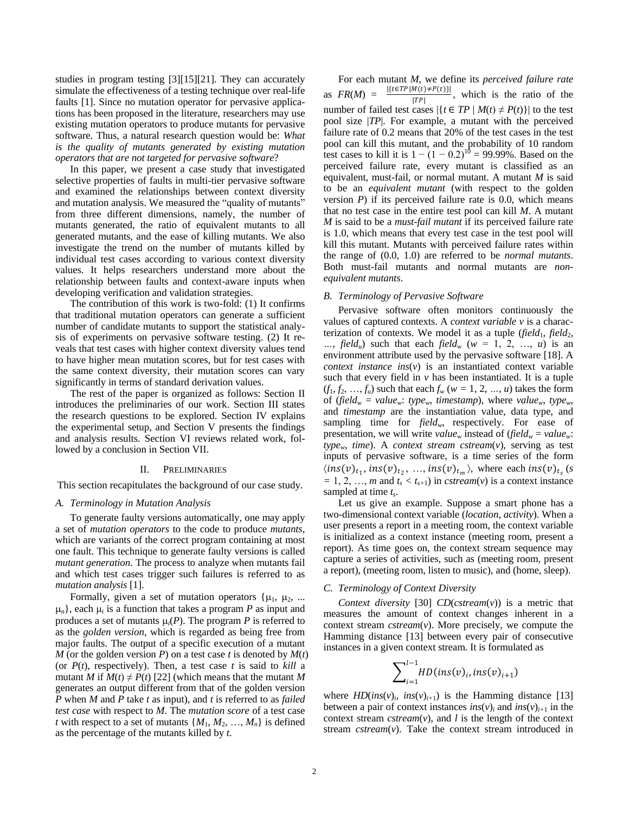studies in program testing [\[3\]\[15\]](#page-9-4)[\[21\].](#page-9-5) They can accurately simulate the effectiveness of a testing technique over real-life faults [\[1\].](#page-9-6) Since no mutation operator for pervasive applications has been proposed in the literature, researchers may use existing mutation operators to produce mutants for pervasive software. Thus, a natural research question would be: *What is the quality of mutants generated by existing mutation operators that are not targeted for pervasive software*?

In this paper, we present a case study that investigated selective properties of faults in multi-tier pervasive software and examined the relationships between context diversity and mutation analysis. We measured the "quality of mutants" from three different dimensions, namely, the number of mutants generated, the ratio of equivalent mutants to all generated mutants, and the ease of killing mutants. We also investigate the trend on the number of mutants killed by individual test cases according to various context diversity values. It helps researchers understand more about the relationship between faults and context-aware inputs when developing verification and validation strategies.

The contribution of this work is two-fold: (1) It confirms that traditional mutation operators can generate a sufficient number of candidate mutants to support the statistical analysis of experiments on pervasive software testing. (2) It reveals that test cases with higher context diversity values tend to have higher mean mutation scores, but for test cases with the same context diversity, their mutation scores can vary significantly in terms of standard derivation values.

The rest of the paper is organized as follows: Section [II](#page-1-0) introduces the preliminaries of our work. Section [III](#page-2-0) states the research questions to be explored. Section [IV](#page-2-1) explains the experimental setup, and Section [V](#page-3-0) presents the findings and analysis results. Section [VI](#page-8-0) reviews related work, followed by a conclusion in Section [VII.](#page-8-1)

#### II. PRELIMINARIES

<span id="page-1-0"></span>This section recapitulates the background of our case study.

#### <span id="page-1-2"></span>*A. Terminology in Mutation Analysis*

To generate faulty versions automatically, one may apply a set of *mutation operators* to the code to produce *mutants*, which are variants of the correct program containing at most one fault. This technique to generate faulty versions is called *mutant generation*. The process to analyze when mutants fail and which test cases trigger such failures is referred to as *mutation analysis* [\[1\].](#page-9-6)

Formally, given a set of mutation operators  $\{\mu_1, \mu_2, \dots\}$  $\mu$ <sub>n</sub>}, each  $\mu$ <sub>i</sub> is a function that takes a program *P* as input and produces a set of mutants  $\mu_i(P)$ . The program *P* is referred to as the *golden version*, which is regarded as being free from major faults. The output of a specific execution of a mutant *M* (or the golden version *P*) on a test case *t* is denoted by  $M(t)$ (or  $P(t)$ , respectively). Then, a test case  $t$  is said to *kill* a mutant *M* if  $M(t) \neq P(t)$  [22] (which means that the mutant *M* generates an output different from that of the golden version *P* when *M* and *P* take *t* as input), and *t* is referred to as *failed test case* with respect to *M*. The *mutation score* of a test case *t* with respect to a set of mutants  $\{M_1, M_2, ..., M_n\}$  is defined as the percentage of the mutants killed by *t*.

For each mutant *M*, we define its *perceived failure rate* as  $FR(M) = \frac{|\{t \in TP | M(t) \neq P(t)\}|}{|TP|}$ , which is the ratio of the number of failed test cases  $|\{t \in TP \mid M(t) \neq P(t)\}|$  to the test pool size |*TP*|. For example, a mutant with the perceived failure rate of 0.2 means that 20% of the test cases in the test pool can kill this mutant, and the probability of 10 random test cases to kill it is  $1 - (1 - 0.2)^{10} = 99.99\%$ . Based on the perceived failure rate, every mutant is classified as an equivalent, must-fail, or normal mutant. A mutant *M* is said to be an *equivalent mutant* (with respect to the golden version *P*) if its perceived failure rate is 0.0, which means that no test case in the entire test pool can kill *M*. A mutant *M* is said to be a *must-fail mutant* if its perceived failure rate is 1.0, which means that every test case in the test pool will kill this mutant. Mutants with perceived failure rates within the range of (0.0, 1.0) are referred to be *normal mutants*. Both must-fail mutants and normal mutants are *nonequivalent mutants*.

#### <span id="page-1-1"></span>*B. Terminology of Pervasive Software*

Pervasive software often monitors continuously the values of captured contexts. A *context variable v* is a characterization of contexts. We model it as a tuple ( $field_1$ ,  $field_2$ , …, *field<sub>u</sub>*) such that each *field<sub>w</sub>* ( $w = 1, 2, ..., u$ ) is an environment attribute used by the pervasive software [\[18\].](#page-9-8) A *context instance ins*(*v*) is an instantiated context variable such that every field in  $\nu$  has been instantiated. It is a tuple  $(f_1, f_2, \ldots, f_u)$  such that each  $f_w$  ( $w = 1, 2, \ldots, u$ ) takes the form of (*field<sub>w</sub>* = *value<sub>w</sub>*: *type<sub>w</sub>*, *timestamp*), where *value<sub>w</sub>*, *type<sub>w</sub>*, and *timestamp* are the instantiation value, data type, and sampling time for *fieldw*, respectively. For ease of presentation, we will write *value<sub>w</sub>* instead of (*field<sub>w</sub>* = *value<sub>w</sub>*: *typew*, *time*). A *context stream cstream*(*v*), serving as test inputs of pervasive software, is a time series of the form  $\langle ins(v)_{t_1}, ins(v)_{t_2}, ..., ins(v)_{t_m} \rangle$ , where each  $ins(v)_{t_s}$  (s  $= 1, 2, ..., m$  and  $t_s < t_{s+1}$ ) in *cstream*(*v*) is a context instance sampled at time *t<sup>s</sup>* .

Let us give an example. Suppose a smart phone has a two-dimensional context variable (*location*, *activity*). When a user presents a report in a meeting room, the context variable is initialized as a context instance (meeting room, present a report). As time goes on, the context stream sequence may capture a series of activities, such as (meeting room, present a report), (meeting room, listen to music), and (home, sleep).

# <span id="page-1-3"></span>*C. Terminology of Context Diversity*

*Context diversity* [\[30\]](#page-9-9) *CD*(*cstream*(*v*)) is a metric that measures the amount of context changes inherent in a context stream *cstream*(*v*). More precisely, we compute the Hamming distance [\[13\]](#page-9-10) between every pair of consecutive instances in a given context stream. It is formulated as

$$
\sum\nolimits_{i=1}^{l-1} H D(ins(v)_i, ins(v)_{i+1})
$$

where  $HD(ins(v)<sub>i</sub>, ins(v)<sub>i+1</sub>)$  is the Hamming distance [\[13\]](#page-9-10) between a pair of context instances  $ins(v)$  and  $ins(v)$ <sub>i+1</sub> in the context stream  $cstream(v)$ , and  $l$  is the length of the context stream *cstream*(*v*). Take the context stream introduced in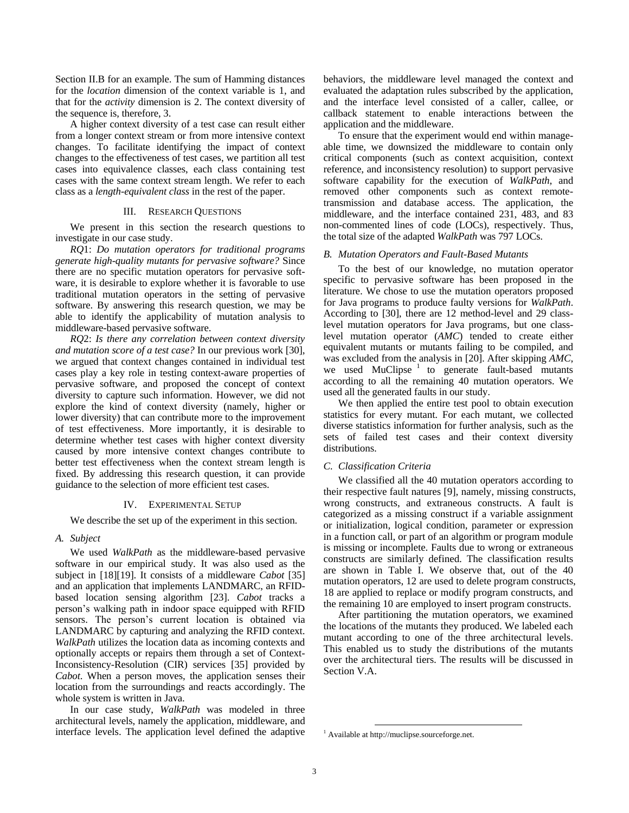Section [II.B](#page-1-1) for an example. The sum of Hamming distances for the *location* dimension of the context variable is 1, and that for the *activity* dimension is 2. The context diversity of the sequence is, therefore, 3.

A higher context diversity of a test case can result either from a longer context stream or from more intensive context changes. To facilitate identifying the impact of context changes to the effectiveness of test cases, we partition all test cases into equivalence classes, each class containing test cases with the same context stream length. We refer to each class as a *length-equivalent class* in the rest of the paper.

# III. RESEARCH QUESTIONS

<span id="page-2-0"></span>We present in this section the research questions to investigate in our case study.

*RQ*1: *Do mutation operators for traditional programs generate high-quality mutants for pervasive software?* Since there are no specific mutation operators for pervasive software, it is desirable to explore whether it is favorable to use traditional mutation operators in the setting of pervasive software. By answering this research question, we may be able to identify the applicability of mutation analysis to middleware-based pervasive software.

*RQ*2: *Is there any correlation between context diversity and mutation score of a test case?* In our previous work [\[30\],](#page-9-9) we argued that context changes contained in individual test cases play a key role in testing context-aware properties of pervasive software, and proposed the concept of context diversity to capture such information. However, we did not explore the kind of context diversity (namely, higher or lower diversity) that can contribute more to the improvement of test effectiveness. More importantly, it is desirable to determine whether test cases with higher context diversity caused by more intensive context changes contribute to better test effectiveness when the context stream length is fixed. By addressing this research question, it can provide guidance to the selection of more efficient test cases.

# IV. EXPERIMENTAL SETUP

<span id="page-2-1"></span>We describe the set up of the experiment in this section.

#### *A. Subject*

We used *WalkPath* as the middleware-based pervasive software in our empirical study. It was also used as the subject in [\[18\]\[19\].](#page-9-8) It consists of a middleware *Cabot* [\[35\]](#page-10-0) and an application that implements LANDMARC, an RFIDbased location sensing algorithm [\[23\].](#page-9-11) *Cabot* tracks a person's walking path in indoor space equipped with RFID sensors. The person's current location is obtained via LANDMARC by capturing and analyzing the RFID context. *WalkPath* utilizes the location data as incoming contexts and optionally accepts or repairs them through a set of Context-Inconsistency-Resolution (CIR) services [\[35\]](#page-10-0) provided by *Cabot*. When a person moves, the application senses their location from the surroundings and reacts accordingly. The whole system is written in Java.

In our case study, *WalkPath* was modeled in three architectural levels, namely the application, middleware, and interface levels. The application level defined the adaptive behaviors, the middleware level managed the context and evaluated the adaptation rules subscribed by the application, and the interface level consisted of a caller, callee, or callback statement to enable interactions between the application and the middleware.

To ensure that the experiment would end within manageable time, we downsized the middleware to contain only critical components (such as context acquisition, context reference, and inconsistency resolution) to support pervasive software capability for the execution of *WalkPath*, and removed other components such as context remotetransmission and database access. The application, the middleware, and the interface contained 231, 483, and 83 non-commented lines of code (LOCs), respectively. Thus, the total size of the adapted *WalkPath* was 797 LOCs.

# *B. Mutation Operators and Fault-Based Mutants*

To the best of our knowledge, no mutation operator specific to pervasive software has been proposed in the literature. We chose to use the mutation operators proposed for Java programs to produce faulty versions for *WalkPath*. According to [\[30\],](#page-9-9) there are 12 method-level and 29 classlevel mutation operators for Java programs, but one classlevel mutation operator (*AMC*) tended to create either equivalent mutants or mutants failing to be compiled, and was excluded from the analysis in [\[20\].](#page-9-12) After skipping *AMC*, we used MuClipse<sup>1</sup> to generate fault-based mutants according to all the remaining 40 mutation operators. We used all the generated faults in our study.

We then applied the entire test pool to obtain execution statistics for every mutant. For each mutant, we collected diverse statistics information for further analysis, such as the sets of failed test cases and their context diversity distributions.

#### *C. Classification Criteria*

We classified all the 40 mutation operators according to their respective fault natures [\[9\],](#page-9-13) namely, missing constructs, wrong constructs, and extraneous constructs. A fault is categorized as a missing construct if a variable assignment or initialization, logical condition, parameter or expression in a function call, or part of an algorithm or program module is missing or incomplete. Faults due to wrong or extraneous constructs are similarly defined. The classification results are shown in [Table I.](#page-3-1) We observe that, out of the 40 mutation operators, 12 are used to delete program constructs, 18 are applied to replace or modify program constructs, and the remaining 10 are employed to insert program constructs.

After partitioning the mutation operators, we examined the locations of the mutants they produced. We labeled each mutant according to one of the three architectural levels. This enabled us to study the distributions of the mutants over the architectural tiers. The results will be discussed in Sectio[n V.A.](#page-3-2)

 $\overline{a}$ 

<sup>1</sup> Available at http://muclipse.sourceforge.net.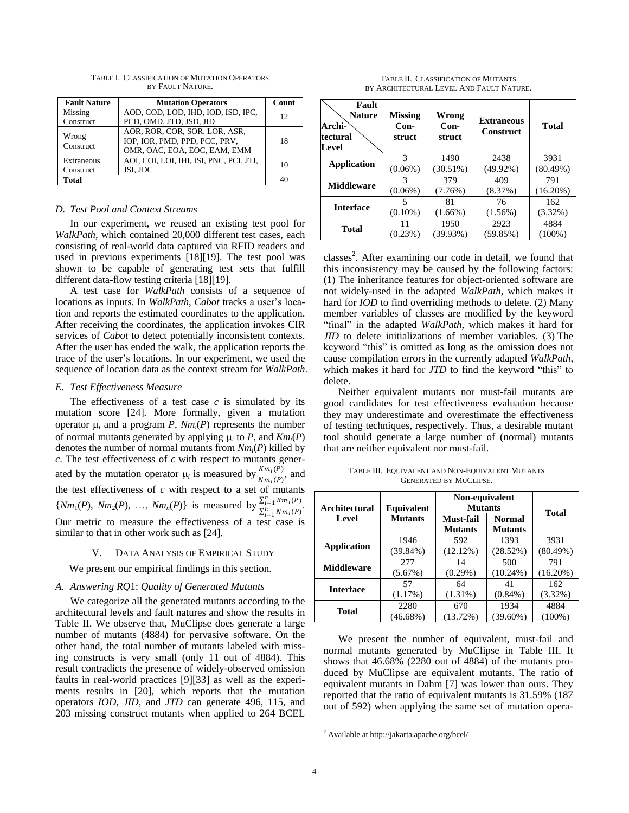<span id="page-3-1"></span>

| <b>Fault Nature</b> | <b>Mutation Operators</b>                                     | Count |
|---------------------|---------------------------------------------------------------|-------|
| Missing             | AOD, COD, LOD, IHD, IOD, ISD, IPC,                            | 12    |
| Construct           | PCD, OMD, JTD, JSD, JID                                       |       |
| Wrong               | AOR, ROR, COR, SOR. LOR, ASR,                                 |       |
| Construct           | IOP, IOR, PMD, PPD, PCC, PRV,<br>OMR, OAC, EOA, EOC, EAM, EMM | 18    |
|                     |                                                               |       |
| Extraneous          | AOI, COI, LOI, IHI, ISI, PNC, PCI, JTI,                       | 10    |
| Construct           | JSI, JDC                                                      |       |
| <b>Total</b>        |                                                               | 40    |
|                     |                                                               |       |

TABLE I. CLASSIFICATION OF MUTATION OPERATORS BY FAULT NATURE.

# *D. Test Pool and Context Streams*

In our experiment, we reused an existing test pool for *WalkPath*, which contained 20,000 different test cases, each consisting of real-world data captured via RFID readers and used in previous experiments [\[18\]\[19\].](#page-9-8) The test pool was shown to be capable of generating test sets that fulfill different data-flow testing criteri[a \[18\]\[19\].](#page-9-8)

A test case for *WalkPath* consists of a sequence of locations as inputs. In *WalkPath*, *Cabot* tracks a user's location and reports the estimated coordinates to the application. After receiving the coordinates, the application invokes CIR services of *Cabot* to detect potentially inconsistent contexts. After the user has ended the walk, the application reports the trace of the user's locations. In our experiment, we used the sequence of location data as the context stream for *WalkPath*.

# *E. Test Effectiveness Measure*

The effectiveness of a test case  $c$  is simulated by its mutation score [\[24\].](#page-9-14) More formally, given a mutation operator  $\mu_i$  and a program *P*,  $Nm_i(P)$  represents the number of normal mutants generated by applying  $\mu_i$  to *P*, and  $Km_i(P)$ denotes the number of normal mutants from *Nmi*(*P*) killed by *c*. The test effectiveness of *c* with respect to mutants generated by the mutation operator  $\mu_i$  is measured by  $\frac{Km_i(P)}{Nm_i(P)}$  $\frac{N m_i(P)}{N m_i(P)}$ , and the test effectiveness of *c* with respect to a set of mutants  $\{Nm_1(P), Nm_2(P), ..., Nm_n(P)\}\$ is measured by  $\frac{\sum_{i=1}^{n} Km_i(P)}{\sum_{i=1}^{n}Nm_i(P)}$ . Our metric to measure the effectiveness of a test case is similar to that in other work such as [\[24\].](#page-9-14)

# V. DATA ANALYSIS OF EMPIRICAL STUDY

<span id="page-3-0"></span>We present our empirical findings in this section.

#### <span id="page-3-2"></span>*A. Answering RQ*1: *Quality of Generated Mutants*

We categorize all the generated mutants according to the architectural levels and fault natures and show the results in [Table II.](#page-3-3) We observe that, MuClipse does generate a large number of mutants (4884) for pervasive software. On the other hand, the total number of mutants labeled with missing constructs is very small (only 11 out of 4884). This result contradicts the presence of widely-observed omission faults in real-world practices [\[9\]\[33\]](#page-9-13) as well as the experiments results in [\[20\],](#page-9-12) which reports that the mutation operators *IOD*, *JID*, and *JTD* can generate 496, 115, and 203 missing construct mutants when applied to 264 BCEL

| TABLE II. CLASSIFICATION OF MUTANTS      |  |
|------------------------------------------|--|
| by Architectural Level And Fault Nature. |  |

<span id="page-3-3"></span>

| Fault<br><b>Nature</b><br>Archi-<br>tectural<br>Level | <b>Missing</b><br>$Con-$<br>struct | Wrong<br>$Con-$<br>struct | <b>Extraneous</b><br><b>Construct</b> | Total       |
|-------------------------------------------------------|------------------------------------|---------------------------|---------------------------------------|-------------|
| <b>Application</b>                                    | 3                                  | 1490                      | 2438                                  | 3931        |
|                                                       | $(0.06\%)$                         | $(30.51\%)$               | $(49.92\%)$                           | $(80.49\%)$ |
| <b>Middleware</b>                                     | 3                                  | 379                       | 409                                   | 791         |
|                                                       | $(0.06\%)$                         | $(7.76\%)$                | (8.37%)                               | $(16.20\%)$ |
| <b>Interface</b>                                      | 5                                  | 81                        | 76                                    | 162         |
|                                                       | $(0.10\%)$                         | $(1.66\%)$                | $(1.56\%)$                            | $(3.32\%)$  |
| <b>Total</b>                                          | 11                                 | 1950                      | 2923                                  | 4884        |
|                                                       | $(0.23\%)$                         | $(39.93\%)$               | (59.85%)                              | $(100\%)$   |

classes 2 . After examining our code in detail, we found that this inconsistency may be caused by the following factors: (1) The inheritance features for object-oriented software are not widely-used in the adapted *WalkPath*, which makes it hard for *IOD* to find overriding methods to delete. (2) Many member variables of classes are modified by the keyword "final" in the adapted *WalkPath*, which makes it hard for *JID* to delete initializations of member variables. (3) The keyword "this" is omitted as long as the omission does not cause compilation errors in the currently adapted *WalkPath*, which makes it hard for *JTD* to find the keyword "this" to delete.

Neither equivalent mutants nor must-fail mutants are good candidates for test effectiveness evaluation because they may underestimate and overestimate the effectiveness of testing techniques, respectively. Thus, a desirable mutant tool should generate a large number of (normal) mutants that are neither equivalent nor must-fail.

<span id="page-3-4"></span>TABLE III. EQUIVALENT AND NON-EQUIVALENT MUTANTS GENERATED BY MUCLIPSE.

| <b>Architectural</b> | Equivalent     | Non-equivalent<br><b>Mutants</b> |                                 |              |
|----------------------|----------------|----------------------------------|---------------------------------|--------------|
| Level                | <b>Mutants</b> | Must-fail<br><b>Mutants</b>      | <b>Normal</b><br><b>Mutants</b> | <b>Total</b> |
|                      | 1946           | 592                              | 1393                            | 3931         |
| <b>Application</b>   | $(39.84\%)$    | (12.12%)                         | (28.52%)                        | $(80.49\%)$  |
| <b>Middleware</b>    | 2.77           | 14                               | 500                             | 791          |
|                      | $(5.67\%)$     | $(0.29\%)$                       | $(10.24\%)$                     | $(16.20\%)$  |
| <b>Interface</b>     | 57             | 64                               | 41                              | 162          |
|                      | (1.17%)        | $(1.31\%)$                       | $(0.84\%)$                      | $(3.32\%)$   |
| <b>Total</b>         | 2280           | 670                              | 1934                            | 4884         |
|                      | $(46.68\%)$    | (13.72%)                         | $(39.60\%)$                     | $(100\%)$    |

We present the number of equivalent, must-fail and normal mutants generated by MuClipse in [Table III.](#page-3-4) It shows that 46.68% (2280 out of 4884) of the mutants produced by MuClipse are equivalent mutants. The ratio of equivalent mutants in Dahm [\[7\]](#page-9-15) was lower than ours. They reported that the ratio of equivalent mutants is 31.59% (187 out of 592) when applying the same set of mutation opera-

 $\overline{a}$ 

<sup>2</sup> Available at http://jakarta.apache.org/bcel/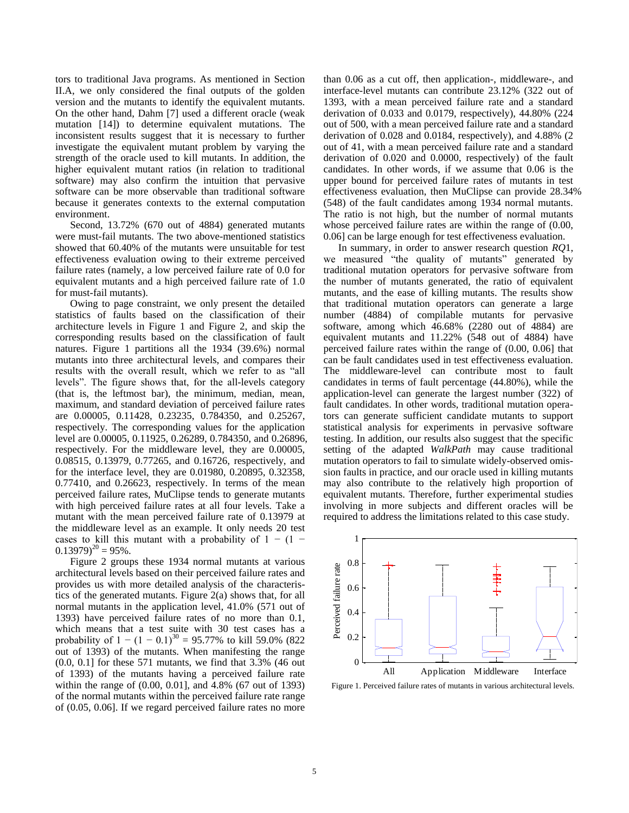tors to traditional Java programs. As mentioned in Section [II.A,](#page-1-2) we only considered the final outputs of the golden version and the mutants to identify the equivalent mutants. On the other hand, Dahm [\[7\]](#page-9-15) used a different oracle (weak mutation [\[14\]\)](#page-9-16) to determine equivalent mutations. The inconsistent results suggest that it is necessary to further investigate the equivalent mutant problem by varying the strength of the oracle used to kill mutants. In addition, the higher equivalent mutant ratios (in relation to traditional software) may also confirm the intuition that pervasive software can be more observable than traditional software because it generates contexts to the external computation environment.

Second, 13.72% (670 out of 4884) generated mutants were must-fail mutants. The two above-mentioned statistics showed that 60.40% of the mutants were unsuitable for test effectiveness evaluation owing to their extreme perceived failure rates (namely, a low perceived failure rate of 0.0 for equivalent mutants and a high perceived failure rate of 1.0 for must-fail mutants).

Owing to page constraint, we only present the detailed statistics of faults based on the classification of their architecture levels in [Figure 1](#page-4-0) and [Figure 2,](#page-5-0) and skip the corresponding results based on the classification of fault natures. [Figure 1](#page-4-0) partitions all the 1934 (39.6%) normal mutants into three architectural levels, and compares their results with the overall result, which we refer to as "all levels". The figure shows that, for the all-levels category (that is, the leftmost bar), the minimum, median, mean, maximum, and standard deviation of perceived failure rates are 0.00005, 0.11428, 0.23235, 0.784350, and 0.25267, respectively. The corresponding values for the application level are 0.00005, 0.11925, 0.26289, 0.784350, and 0.26896, respectively. For the middleware level, they are 0.00005, 0.08515, 0.13979, 0.77265, and 0.16726, respectively, and for the interface level, they are 0.01980, 0.20895, 0.32358, 0.77410, and 0.26623, respectively. In terms of the mean perceived failure rates, MuClipse tends to generate mutants with high perceived failure rates at all four levels. Take a mutant with the mean perceived failure rate of 0.13979 at the middleware level as an example. It only needs 20 test cases to kill this mutant with a probability of  $1 - (1 (0.13979)^{20} = 95\%$ .

[Figure 2](#page-5-0) groups these 1934 normal mutants at various architectural levels based on their perceived failure rates and provides us with more detailed analysis of the characteristics of the generated mutants. [Figure 2\(](#page-5-0)a) shows that, for all normal mutants in the application level, 41.0% (571 out of 1393) have perceived failure rates of no more than 0.1, which means that a test suite with 30 test cases has a probability of  $1 - (1 - 0.1)^{30} = 95.77\%$  to kill 59.0% (822) out of 1393) of the mutants. When manifesting the range (0.0, 0.1] for these 571 mutants, we find that 3.3% (46 out of 1393) of the mutants having a perceived failure rate within the range of (0.00, 0.01], and 4.8% (67 out of 1393) of the normal mutants within the perceived failure rate range of (0.05, 0.06]. If we regard perceived failure rates no more than 0.06 as a cut off, then application-, middleware-, and interface-level mutants can contribute 23.12% (322 out of 1393, with a mean perceived failure rate and a standard derivation of 0.033 and 0.0179, respectively), 44.80% (224 out of 500, with a mean perceived failure rate and a standard derivation of 0.028 and 0.0184, respectively), and 4.88% (2 out of 41, with a mean perceived failure rate and a standard derivation of 0.020 and 0.0000, respectively) of the fault candidates. In other words, if we assume that 0.06 is the upper bound for perceived failure rates of mutants in test effectiveness evaluation, then MuClipse can provide 28.34% (548) of the fault candidates among 1934 normal mutants. The ratio is not high, but the number of normal mutants whose perceived failure rates are within the range of (0.00, 0.06] can be large enough for test effectiveness evaluation.

In summary, in order to answer research question *RQ*1, we measured "the quality of mutants" generated by traditional mutation operators for pervasive software from the number of mutants generated, the ratio of equivalent mutants, and the ease of killing mutants. The results show that traditional mutation operators can generate a large number (4884) of compilable mutants for pervasive software, among which 46.68% (2280 out of 4884) are equivalent mutants and 11.22% (548 out of 4884) have perceived failure rates within the range of (0.00, 0.06] that can be fault candidates used in test effectiveness evaluation. The middleware-level can contribute most to fault candidates in terms of fault percentage (44.80%), while the application-level can generate the largest number (322) of fault candidates. In other words, traditional mutation operators can generate sufficient candidate mutants to support statistical analysis for experiments in pervasive software testing. In addition, our results also suggest that the specific setting of the adapted *WalkPath* may cause traditional mutation operators to fail to simulate widely-observed omission faults in practice, and our oracle used in killing mutants may also contribute to the relatively high proportion of equivalent mutants. Therefore, further experimental studies involving in more subjects and different oracles will be required to address the limitations related to this case study.



<span id="page-4-0"></span>Figure 1. Perceived failure rates of mutants in various architectural levels.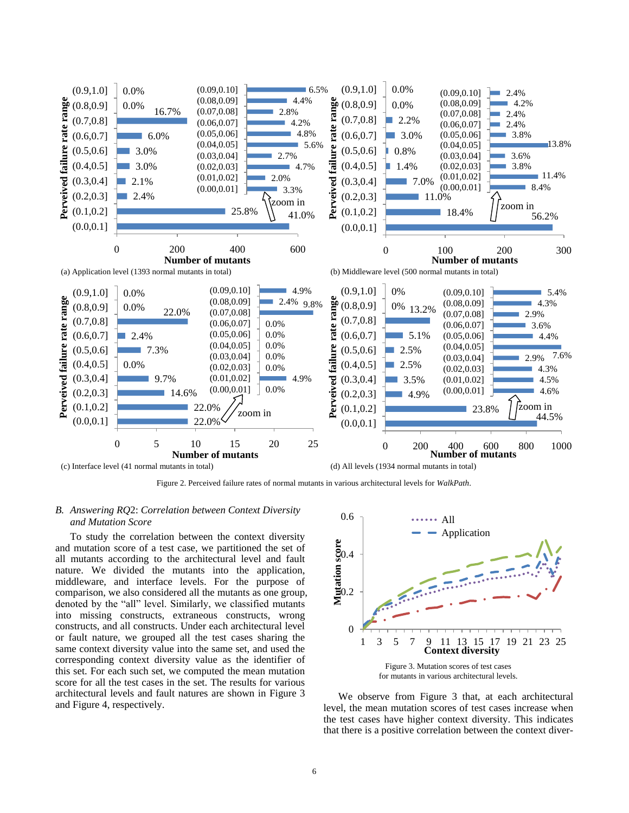

Figure 2. Perceived failure rates of normal mutants in various architectural levels for *WalkPath*.

# <span id="page-5-0"></span>*B. Answering RQ*2: *Correlation between Context Diversity and Mutation Score*

To study the correlation between the context diversity and mutation score of a test case, we partitioned the set of all mutants according to the architectural level and fault nature. We divided the mutants into the application, middleware, and interface levels. For the purpose of comparison, we also considered all the mutants as one group, denoted by the "all" level. Similarly, we classified mutants into missing constructs, extraneous constructs, wrong constructs, and all constructs. Under each architectural level or fault nature, we grouped all the test cases sharing the same context diversity value into the same set, and used the corresponding context diversity value as the identifier of this set. For each such set, we computed the mean mutation score for all the test cases in the set. The results for various architectural levels and fault natures are shown in [Figure 3](#page-5-1) and [Figure 4,](#page-6-0) respectively.



<span id="page-5-1"></span>We observe from [Figure 3](#page-5-1) that, at each architectural level, the mean mutation scores of test cases increase when the test cases have higher context diversity. This indicates that there is a positive correlation between the context diver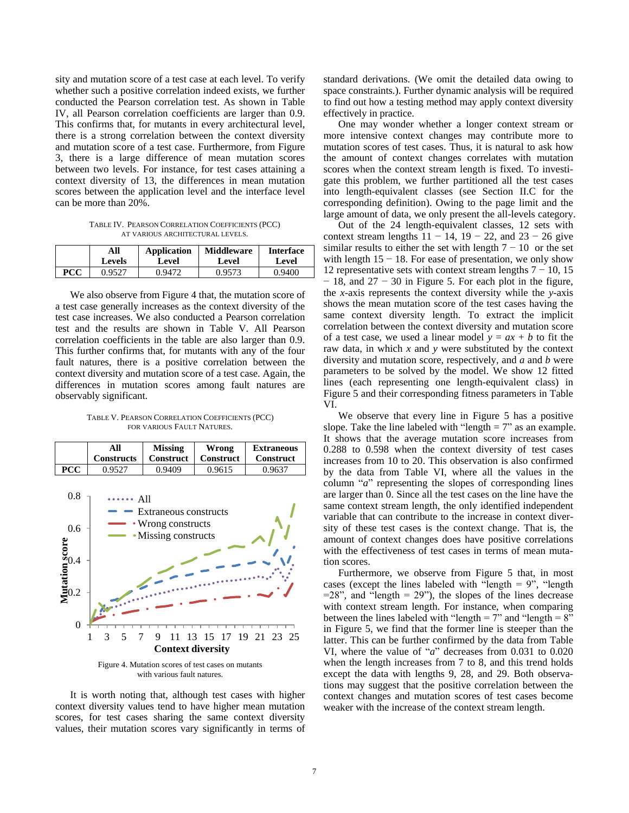sity and mutation score of a test case at each level. To verify whether such a positive correlation indeed exists, we further conducted the Pearson correlation test. As shown in [Table](#page-6-1)  [IV,](#page-6-1) all Pearson correlation coefficients are larger than 0.9. This confirms that, for mutants in every architectural level, there is a strong correlation between the context diversity and mutation score of a test case. Furthermore, from [Figure](#page-5-1)  [3,](#page-5-1) there is a large difference of mean mutation scores between two levels. For instance, for test cases attaining a context diversity of 13, the differences in mean mutation scores between the application level and the interface level can be more than 20%.

TABLE IV. PEARSON CORRELATION COEFFICIENTS (PCC) AT VARIOUS ARCHITECTURAL LEVELS.

<span id="page-6-1"></span>

|            | All           | <b>Application</b> | <b>Middleware</b> | <b>Interface</b> |
|------------|---------------|--------------------|-------------------|------------------|
|            | <b>Levels</b> | Level              | Level             | Level            |
| <b>PCC</b> | 0.9527        | 0.9472             | 0.9573            | 0.9400           |

We also observe from [Figure 4](#page-6-0) that, the mutation score of a test case generally increases as the context diversity of the test case increases. We also conducted a Pearson correlation test and the results are shown in [Table V.](#page-6-2) All Pearson correlation coefficients in the table are also larger than 0.9. This further confirms that, for mutants with any of the four fault natures, there is a positive correlation between the context diversity and mutation score of a test case. Again, the differences in mutation scores among fault natures are observably significant.

<span id="page-6-2"></span>TABLE V. PEARSON CORRELATION COEFFICIENTS (PCC) FOR VARIOUS FAULT NATURES.

|     | All               | <b>Missing</b>   | Wrong            | <b>Extraneous</b> |
|-----|-------------------|------------------|------------------|-------------------|
|     | <b>Constructs</b> | <b>Construct</b> | <b>Construct</b> | <b>Construct</b>  |
| PCC | 0.9527            | 0.9409           | 0.9615           | 0.9637            |



Figure 4. Mutation scores of test cases on mutants with various fault natures.

<span id="page-6-0"></span>It is worth noting that, although test cases with higher context diversity values tend to have higher mean mutation scores, for test cases sharing the same context diversity values, their mutation scores vary significantly in terms of standard derivations. (We omit the detailed data owing to space constraints.). Further dynamic analysis will be required to find out how a testing method may apply context diversity effectively in practice.

One may wonder whether a longer context stream or more intensive context changes may contribute more to mutation scores of test cases. Thus, it is natural to ask how the amount of context changes correlates with mutation scores when the context stream length is fixed. To investigate this problem, we further partitioned all the test cases into length-equivalent classes (see Section [II.C](#page-1-3) for the corresponding definition). Owing to the page limit and the large amount of data, we only present the all-levels category.

Out of the 24 length-equivalent classes, 12 sets with context stream lengths  $11 - 14$ ,  $19 - 22$ , and  $23 - 26$  give similar results to either the set with length  $7 - 10$  or the set with length  $15 - 18$ . For ease of presentation, we only show 12 representative sets with context stream lengths  $7 - 10$ , 15  $-18$ , and  $27 - 30$  in [Figure 5.](#page-8-2) For each plot in the figure, the *x*-axis represents the context diversity while the *y*-axis shows the mean mutation score of the test cases having the same context diversity length. To extract the implicit correlation between the context diversity and mutation score of a test case, we used a linear model  $y = ax + b$  to fit the raw data, in which *x* and *y* were substituted by the context diversity and mutation score, respectively, and *a* and *b* were parameters to be solved by the model. We show 12 fitted lines (each representing one length-equivalent class) in [Figure 5](#page-8-2) and their corresponding fitness parameters in [Table](#page-7-0)  [VI.](#page-7-0)

We observe that every line in [Figure 5](#page-8-2) has a positive slope. Take the line labeled with "length  $= 7$ " as an example. It shows that the average mutation score increases from 0.288 to 0.598 when the context diversity of test cases increases from 10 to 20. This observation is also confirmed by the data from [Table VI,](#page-7-0) where all the values in the column "*a*" representing the slopes of corresponding lines are larger than 0. Since all the test cases on the line have the same context stream length, the only identified independent variable that can contribute to the increase in context diversity of these test cases is the context change. That is, the amount of context changes does have positive correlations with the effectiveness of test cases in terms of mean mutation scores.

Furthermore, we observe from [Figure 5](#page-8-2) that, in most cases (except the lines labeled with "length  $= 9$ ", "length  $=28$ ", and "length  $= 29$ "), the slopes of the lines decrease with context stream length. For instance, when comparing between the lines labeled with "length =  $7$ " and "length =  $8$ " in [Figure 5,](#page-8-2) we find that the former line is steeper than the latter. This can be further confirmed by the data from [Table](#page-7-0)  [VI,](#page-7-0) where the value of "*a*" decreases from 0.031 to 0.020 when the length increases from 7 to 8, and this trend holds except the data with lengths 9, 28, and 29. Both observations may suggest that the positive correlation between the context changes and mutation scores of test cases become weaker with the increase of the context stream length.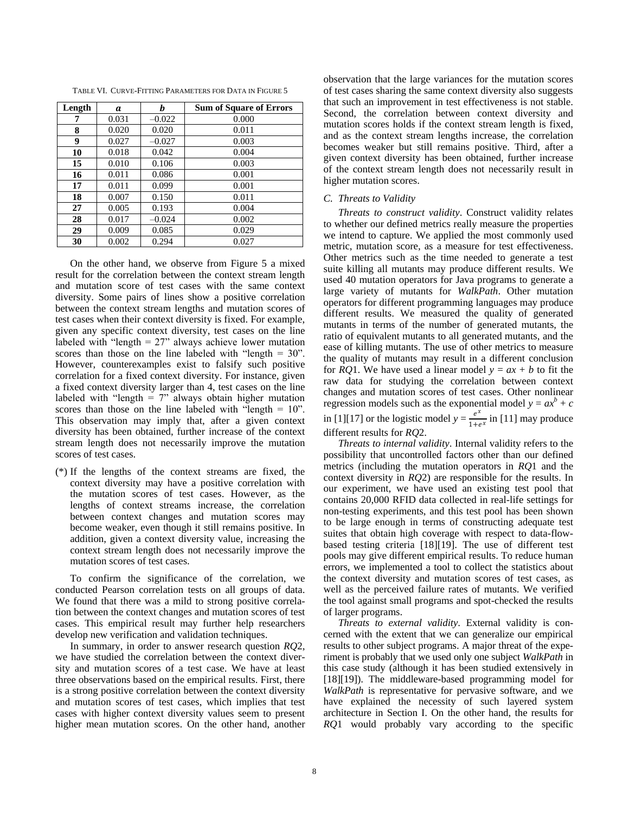| Length | a     | h        | <b>Sum of Square of Errors</b> |
|--------|-------|----------|--------------------------------|
| 7      | 0.031 | $-0.022$ | 0.000                          |
| 8      | 0.020 | 0.020    | 0.011                          |
| 9      | 0.027 | $-0.027$ | 0.003                          |
| 10     | 0.018 | 0.042    | 0.004                          |
| 15     | 0.010 | 0.106    | 0.003                          |
| 16     | 0.011 | 0.086    | 0.001                          |
| 17     | 0.011 | 0.099    | 0.001                          |
| 18     | 0.007 | 0.150    | 0.011                          |
| 27     | 0.005 | 0.193    | 0.004                          |
| 28     | 0.017 | $-0.024$ | 0.002                          |
| 29     | 0.009 | 0.085    | 0.029                          |
| 30     | 0.002 | 0.294    | 0.027                          |

<span id="page-7-0"></span>TABLE VI. CURVE-FITTING PARAMETERS FOR DATA IN F[IGURE](#page-8-2) 5

On the other hand, we observe from [Figure 5](#page-8-2) a mixed result for the correlation between the context stream length and mutation score of test cases with the same context diversity. Some pairs of lines show a positive correlation between the context stream lengths and mutation scores of test cases when their context diversity is fixed. For example, given any specific context diversity, test cases on the line labeled with "length  $= 27$ " always achieve lower mutation scores than those on the line labeled with "length = 30". However, counterexamples exist to falsify such positive correlation for a fixed context diversity. For instance, given a fixed context diversity larger than 4, test cases on the line labeled with "length  $= 7$ " always obtain higher mutation scores than those on the line labeled with "length =  $10$ ". This observation may imply that, after a given context diversity has been obtained, further increase of the context stream length does not necessarily improve the mutation scores of test cases.

(\*) If the lengths of the context streams are fixed, the context diversity may have a positive correlation with the mutation scores of test cases. However, as the lengths of context streams increase, the correlation between context changes and mutation scores may become weaker, even though it still remains positive. In addition, given a context diversity value, increasing the context stream length does not necessarily improve the mutation scores of test cases.

To confirm the significance of the correlation, we conducted Pearson correlation tests on all groups of data. We found that there was a mild to strong positive correlation between the context changes and mutation scores of test cases. This empirical result may further help researchers develop new verification and validation techniques.

In summary, in order to answer research question *RQ*2, we have studied the correlation between the context diversity and mutation scores of a test case. We have at least three observations based on the empirical results. First, there is a strong positive correlation between the context diversity and mutation scores of test cases, which implies that test cases with higher context diversity values seem to present higher mean mutation scores. On the other hand, another observation that the large variances for the mutation scores of test cases sharing the same context diversity also suggests that such an improvement in test effectiveness is not stable. Second, the correlation between context diversity and mutation scores holds if the context stream length is fixed, and as the context stream lengths increase, the correlation becomes weaker but still remains positive. Third, after a given context diversity has been obtained, further increase of the context stream length does not necessarily result in higher mutation scores.

# *C. Threats to Validity*

*Threats to construct validity*. Construct validity relates to whether our defined metrics really measure the properties we intend to capture. We applied the most commonly used metric, mutation score, as a measure for test effectiveness. Other metrics such as the time needed to generate a test suite killing all mutants may produce different results. We used 40 mutation operators for Java programs to generate a large variety of mutants for *WalkPath*. Other mutation operators for different programming languages may produce different results. We measured the quality of generated mutants in terms of the number of generated mutants, the ratio of equivalent mutants to all generated mutants, and the ease of killing mutants. The use of other metrics to measure the quality of mutants may result in a different conclusion for *RQ*1. We have used a linear model  $y = ax + b$  to fit the raw data for studying the correlation between context changes and mutation scores of test cases. Other nonlinear regression models such as the exponential model  $y = ax^b + c$ in [\[1\]\[17\]](#page-9-6) or the logistic model  $y = \frac{e^{x}}{1+x}$  $\frac{e}{1+e^x}$  in [\[11\]](#page-9-17) may produce different results for *RQ*2.

*Threats to internal validity*. Internal validity refers to the possibility that uncontrolled factors other than our defined metrics (including the mutation operators in *RQ*1 and the context diversity in *RQ*2) are responsible for the results. In our experiment, we have used an existing test pool that contains 20,000 RFID data collected in real-life settings for non-testing experiments, and this test pool has been shown to be large enough in terms of constructing adequate test suites that obtain high coverage with respect to data-flowbased testing criteria [\[18\]\[19\].](#page-9-8) The use of different test pools may give different empirical results. To reduce human errors, we implemented a tool to collect the statistics about the context diversity and mutation scores of test cases, as well as the perceived failure rates of mutants. We verified the tool against small programs and spot-checked the results of larger programs.

*Threats to external validity*. External validity is concerned with the extent that we can generalize our empirical results to other subject programs. A major threat of the experiment is probably that we used only one subject *WalkPath* in this case study (although it has been studied extensively in [\[18\]\[19\]\)](#page-9-8). The middleware-based programming model for *WalkPath* is representative for pervasive software, and we have explained the necessity of such layered system architecture in Section [I.](#page-0-0) On the other hand, the results for *RQ*1 would probably vary according to the specific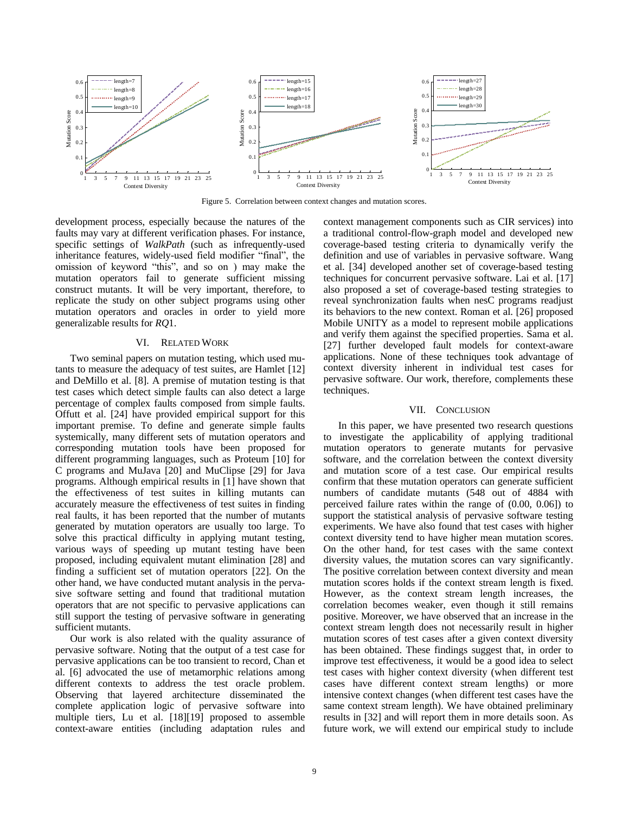

Figure 5. Correlation between context changes and mutation scores.

<span id="page-8-2"></span>development process, especially because the natures of the faults may vary at different verification phases. For instance, specific settings of *WalkPath* (such as infrequently-used inheritance features, widely-used field modifier "final", the omission of keyword "this", and so on ) may make the mutation operators fail to generate sufficient missing construct mutants. It will be very important, therefore, to replicate the study on other subject programs using other mutation operators and oracles in order to yield more generalizable results for *RQ*1.

#### VI. RELATED WORK

<span id="page-8-0"></span>Two seminal papers on mutation testing, which used mutants to measure the adequacy of test suites, are Hamlet [\[12\]](#page-9-18) and DeMillo et al. [\[8\].](#page-9-19) A premise of mutation testing is that test cases which detect simple faults can also detect a large percentage of complex faults composed from simple faults. Offutt et al. [\[24\]](#page-9-14) have provided empirical support for this important premise. To define and generate simple faults systemically, many different sets of mutation operators and corresponding mutation tools have been proposed for different programming languages, such as Proteum [\[10\]](#page-9-20) for C programs and MuJava [\[20\]](#page-9-12) and MuClipse [\[29\]](#page-9-21) for Java programs. Although empirical results in [\[1\]](#page-9-6) have shown that the effectiveness of test suites in killing mutants can accurately measure the effectiveness of test suites in finding real faults, it has been reported that the number of mutants generated by mutation operators are usually too large. To solve this practical difficulty in applying mutant testing, various ways of speeding up mutant testing have been proposed, including equivalent mutant elimination [\[28\]](#page-9-22) and finding a sufficient set of mutation operators [\[22\].](#page-9-7) On the other hand, we have conducted mutant analysis in the pervasive software setting and found that traditional mutation operators that are not specific to pervasive applications can still support the testing of pervasive software in generating sufficient mutants.

Our work is also related with the quality assurance of pervasive software. Noting that the output of a test case for pervasive applications can be too transient to record, Chan et al. [\[6\]](#page-9-23) advocated the use of metamorphic relations among different contexts to address the test oracle problem. Observing that layered architecture disseminated the complete application logic of pervasive software into multiple tiers, Lu et al. [\[18\]\[19\]](#page-9-8) proposed to assemble context-aware entities (including adaptation rules and

context management components such as CIR services) into a traditional control-flow-graph model and developed new coverage-based testing criteria to dynamically verify the definition and use of variables in pervasive software. Wang et al. [\[34\]](#page-10-1) developed another set of coverage-based testing techniques for concurrent pervasive software. Lai et al. [\[17\]](#page-9-24) also proposed a set of coverage-based testing strategies to reveal synchronization faults when nesC programs readjust its behaviors to the new context. Roman et al. [\[26\]](#page-9-25) proposed Mobile UNITY as a model to represent mobile applications and verify them against the specified properties. Sama et al. [\[27\]](#page-9-26) further developed fault models for context-aware applications. None of these techniques took advantage of context diversity inherent in individual test cases for pervasive software. Our work, therefore, complements these techniques.

# VII. CONCLUSION

<span id="page-8-1"></span>In this paper, we have presented two research questions to investigate the applicability of applying traditional mutation operators to generate mutants for pervasive software, and the correlation between the context diversity and mutation score of a test case. Our empirical results confirm that these mutation operators can generate sufficient numbers of candidate mutants (548 out of 4884 with perceived failure rates within the range of (0.00, 0.06]) to support the statistical analysis of pervasive software testing experiments. We have also found that test cases with higher context diversity tend to have higher mean mutation scores. On the other hand, for test cases with the same context diversity values, the mutation scores can vary significantly. The positive correlation between context diversity and mean mutation scores holds if the context stream length is fixed. However, as the context stream length increases, the correlation becomes weaker, even though it still remains positive. Moreover, we have observed that an increase in the context stream length does not necessarily result in higher mutation scores of test cases after a given context diversity has been obtained. These findings suggest that, in order to improve test effectiveness, it would be a good idea to select test cases with higher context diversity (when different test cases have different context stream lengths) or more intensive context changes (when different test cases have the same context stream length). We have obtained preliminary results in [\[32\]](#page-10-2) and will report them in more details soon. As future work, we will extend our empirical study to include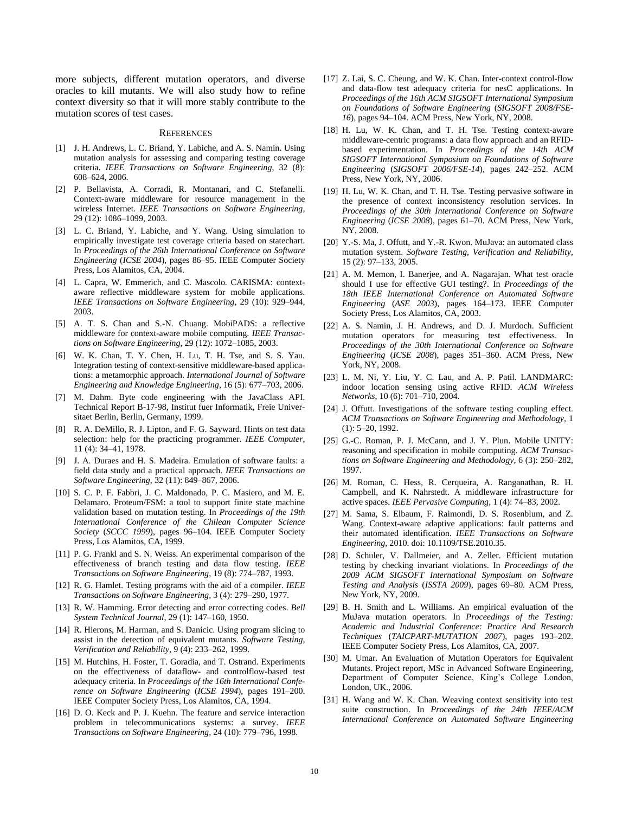more subjects, different mutation operators, and diverse oracles to kill mutants. We will also study how to refine context diversity so that it will more stably contribute to the mutation scores of test cases.

#### **REFERENCES**

- <span id="page-9-6"></span>[1] J. H. Andrews, L. C. Briand, Y. Labiche, and A. S. Namin. Using mutation analysis for assessing and comparing testing coverage criteria. *IEEE Transactions on Software Engineering*, 32 (8): 608–624, 2006.
- <span id="page-9-0"></span>[2] P. Bellavista, A. Corradi, R. Montanari, and C. Stefanelli. Context-aware middleware for resource management in the wireless Internet. *IEEE Transactions on Software Engineering*, 29 (12): 1086–1099, 2003.
- <span id="page-9-4"></span>[3] L. C. Briand, Y. Labiche, and Y. Wang. Using simulation to empirically investigate test coverage criteria based on statechart. In *Proceedings of the 26th International Conference on Software Engineering* (*ICSE 2004*), pages 86–95. IEEE Computer Society Press, Los Alamitos, CA, 2004.
- [4] L. Capra, W. Emmerich, and C. Mascolo. CARISMA: contextaware reflective middleware system for mobile applications. *IEEE Transactions on Software Engineering*, 29 (10): 929–944, 2003.
- <span id="page-9-1"></span>[5] A. T. S. Chan and S.-N. Chuang. MobiPADS: a reflective middleware for context-aware mobile computing. *IEEE Transactions on Software Engineering*, 29 (12): 1072–1085, 2003.
- <span id="page-9-23"></span>[6] W. K. Chan, T. Y. Chen, H. Lu, T. H. Tse, and S. S. Yau. Integration testing of context-sensitive middleware-based applications: a metamorphic approach. *International Journal of Software Engineering and Knowledge Engineering*, 16 (5): 677–703, 2006.
- <span id="page-9-15"></span>[7] M. Dahm. Byte code engineering with the JavaClass API. Technical Report B-17-98, Institut fuer Informatik, Freie Universitaet Berlin, Berlin, Germany, 1999.
- <span id="page-9-19"></span>[8] R. A. DeMillo, R. J. Lipton, and F. G. Sayward. Hints on test data selection: help for the practicing programmer. *IEEE Computer*, 11 (4): 34–41, 1978.
- <span id="page-9-13"></span>[9] J. A. Duraes and H. S. Madeira. Emulation of software faults: a field data study and a practical approach. *IEEE Transactions on Software Engineering*, 32 (11): 849–867, 2006.
- <span id="page-9-20"></span>[10] S. C. P. F. Fabbri, J. C. Maldonado, P. C. Masiero, and M. E. Delamaro. Proteum/FSM: a tool to support finite state machine validation based on mutation testing. In *Proceedings of the 19th International Conference of the Chilean Computer Science Society* (*SCCC 1999*), pages 96–104. IEEE Computer Society Press, Los Alamitos, CA, 1999.
- <span id="page-9-17"></span>[11] P. G. Frankl and S. N. Weiss. An experimental comparison of the effectiveness of branch testing and data flow testing. *IEEE Transactions on Software Engineering*, 19 (8): 774–787, 1993.
- <span id="page-9-18"></span>[12] R. G. Hamlet. Testing programs with the aid of a compiler. *IEEE Transactions on Software Engineering*, 3 (4): 279–290, 1977.
- <span id="page-9-10"></span>[13] R. W. Hamming. Error detecting and error correcting codes. *Bell System Technical Journal*, 29 (1): 147–160, 1950.
- <span id="page-9-16"></span>[14] R. Hierons, M. Harman, and S. Danicic. Using program slicing to assist in the detection of equivalent mutants. *Software Testing, Verification and Reliability*, 9 (4): 233–262, 1999.
- [15] M. Hutchins, H. Foster, T. Goradia, and T. Ostrand. Experiments on the effectiveness of dataflow- and controlflow-based test adequacy criteria. In *Proceedings of the 16th International Conference on Software Engineering* (*ICSE 1994*), pages 191–200. IEEE Computer Society Press, Los Alamitos, CA, 1994.
- <span id="page-9-2"></span>[16] D. O. Keck and P. J. Kuehn. The feature and service interaction problem in telecommunications systems: a survey. *IEEE Transactions on Software Engineering*, 24 (10): 779–796, 1998.
- <span id="page-9-24"></span>[17] Z. Lai, S. C. Cheung, and W. K. Chan. Inter-context control-flow and data-flow test adequacy criteria for nesC applications. In *Proceedings of the 16th ACM SIGSOFT International Symposium on Foundations of Software Engineering* (*SIGSOFT 2008/FSE-16*), pages 94–104. ACM Press, New York, NY, 2008.
- <span id="page-9-8"></span>[18] H. Lu, W. K. Chan, and T. H. Tse. Testing context-aware middleware-centric programs: a data flow approach and an RFIDbased experimentation. In *Proceedings of the 14th ACM SIGSOFT International Symposium on Foundations of Software Engineering* (*SIGSOFT 2006/FSE-14*), pages 242–252. ACM Press, New York, NY, 2006.
- [19] H. Lu, W. K. Chan, and T. H. Tse. Testing pervasive software in the presence of context inconsistency resolution services. In *Proceedings of the 30th International Conference on Software Engineering* (*ICSE 2008*), pages 61–70. ACM Press, New York, NY, 2008.
- <span id="page-9-12"></span>[20] Y.-S. Ma, J. Offutt, and Y.-R. Kwon. MuJava: an automated class mutation system. *Software Testing, Verification and Reliability*, 15 (2): 97–133, 2005.
- <span id="page-9-5"></span>[21] A. M. Memon, I. Banerjee, and A. Nagarajan. What test oracle should I use for effective GUI testing?. In *Proceedings of the 18th IEEE International Conference on Automated Software Engineering* (*ASE 2003*), pages 164–173. IEEE Computer Society Press, Los Alamitos, CA, 2003.
- <span id="page-9-7"></span>[22] A. S. Namin, J. H. Andrews, and D. J. Murdoch. Sufficient mutation operators for measuring test effectiveness. In *Proceedings of the 30th International Conference on Software Engineering* (*ICSE 2008*), pages 351–360. ACM Press, New York, NY, 2008.
- <span id="page-9-11"></span>[23] L. M. Ni, Y. Liu, Y. C. Lau, and A. P. Patil. LANDMARC: indoor location sensing using active RFID. *ACM Wireless Networks*, 10 (6): 701–710, 2004.
- <span id="page-9-14"></span>[24] J. Offutt. Investigations of the software testing coupling effect. *ACM Transactions on Software Engineering and Methodology*, 1 (1): 5–20, 1992.
- [25] G.-C. Roman, P. J. McCann, and J. Y. Plun. Mobile UNITY: reasoning and specification in mobile computing. *ACM Transactions on Software Engineering and Methodology*, 6 (3): 250–282, 1997.
- <span id="page-9-25"></span>[26] M. Roman, C. Hess, R. Cerqueira, A. Ranganathan, R. H. Campbell, and K. Nahrstedt. A middleware infrastructure for active spaces. *IEEE Pervasive Computing*, 1 (4): 74–83, 2002.
- <span id="page-9-26"></span>[27] M. Sama, S. Elbaum, F. Raimondi, D. S. Rosenblum, and Z. Wang. Context-aware adaptive applications: fault patterns and their automated identification. *IEEE Transactions on Software Engineering*, 2010. doi: 10.1109/TSE.2010.35.
- <span id="page-9-22"></span>[28] D. Schuler, V. Dallmeier, and A. Zeller. Efficient mutation testing by checking invariant violations. In *Proceedings of the 2009 ACM SIGSOFT International Symposium on Software Testing and Analysis* (*ISSTA 2009*), pages 69–80. ACM Press, New York, NY, 2009.
- <span id="page-9-21"></span>[29] B. H. Smith and L. Williams. An empirical evaluation of the MuJava mutation operators. In *Proceedings of the Testing: Academic and Industrial Conference: Practice And Research Techniques* (*TAICPART-MUTATION 2007*), pages 193–202. IEEE Computer Society Press, Los Alamitos, CA, 2007.
- <span id="page-9-9"></span>[30] M. Umar. An Evaluation of Mutation Operators for Equivalent Mutants. Project report, MSc in Advanced Software Engineering, Department of Computer Science, King's College London, London, UK., 2006.
- <span id="page-9-3"></span>[31] H. Wang and W. K. Chan. Weaving context sensitivity into test suite construction. In *Proceedings of the 24th IEEE/ACM International Conference on Automated Software Engineering*